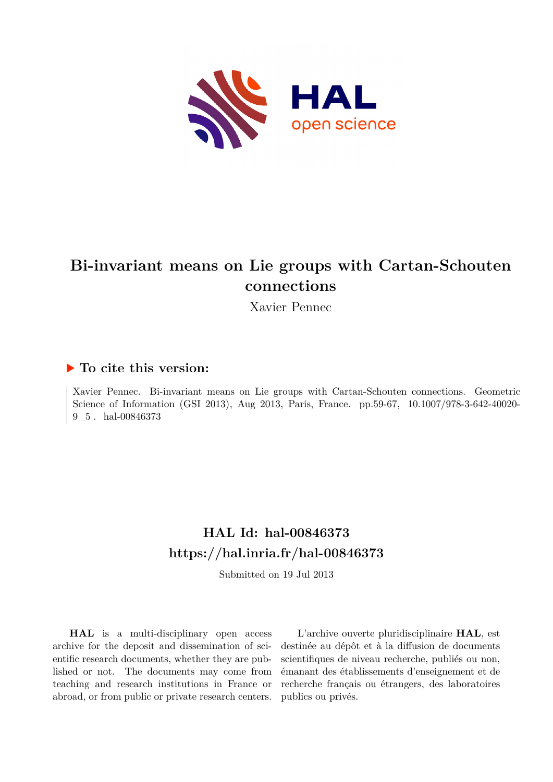

# **Bi-invariant means on Lie groups with Cartan-Schouten connections**

Xavier Pennec

## **To cite this version:**

Xavier Pennec. Bi-invariant means on Lie groups with Cartan-Schouten connections. Geometric Science of Information (GSI 2013), Aug 2013, Paris, France. pp.59-67, 10.1007/978-3-642-40020- $9\_5$ . hal-00846373

## **HAL Id: hal-00846373 <https://hal.inria.fr/hal-00846373>**

Submitted on 19 Jul 2013

**HAL** is a multi-disciplinary open access archive for the deposit and dissemination of scientific research documents, whether they are published or not. The documents may come from teaching and research institutions in France or abroad, or from public or private research centers.

L'archive ouverte pluridisciplinaire **HAL**, est destinée au dépôt et à la diffusion de documents scientifiques de niveau recherche, publiés ou non, émanant des établissements d'enseignement et de recherche français ou étrangers, des laboratoires publics ou privés.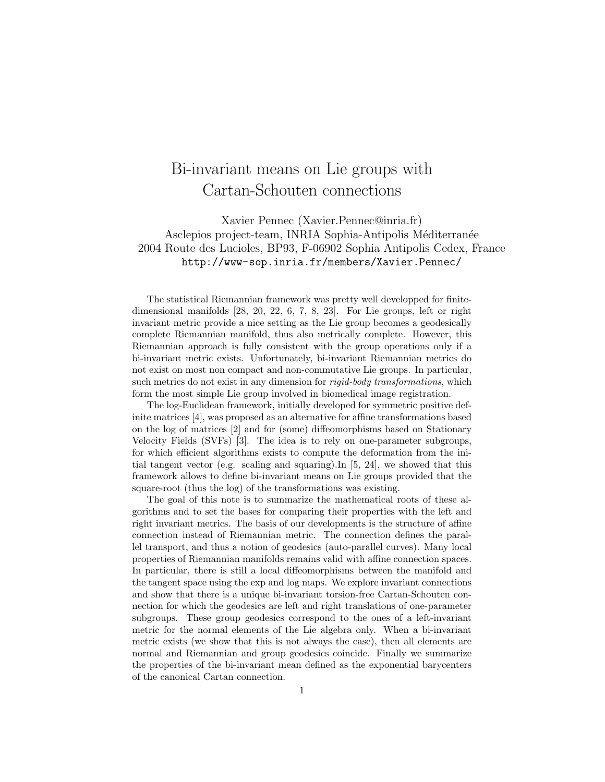## Bi-invariant means on Lie groups with Cartan-Schouten connections

Xavier Pennec (Xavier.Pennec@inria.fr) Asclepios project-team, INRIA Sophia-Antipolis Méditerranée 2004 Route des Lucioles, BP93, F-06902 Sophia Antipolis Cedex, France http://www-sop.inria.fr/members/Xavier.Pennec/

The statistical Riemannian framework was pretty well developped for finitedimensional manifolds [28, 20, 22, 6, 7, 8, 23]. For Lie groups, left or right invariant metric provide a nice setting as the Lie group becomes a geodesically complete Riemannian manifold, thus also metrically complete. However, this Riemannian approach is fully consistent with the group operations only if a bi-invariant metric exists. Unfortunately, bi-invariant Riemannian metrics do not exist on most non compact and non-commutative Lie groups. In particular, such metrics do not exist in any dimension for *rigid-body transformations*, which form the most simple Lie group involved in biomedical image registration.

The log-Euclidean framework, initially developed for symmetric positive definite matrices [4], was proposed as an alternative for affine transformations based on the log of matrices [2] and for (some) diffeomorphisms based on Stationary Velocity Fields (SVFs) [3]. The idea is to rely on one-parameter subgroups, for which efficient algorithms exists to compute the deformation from the initial tangent vector (e.g. scaling and squaring).In [5, 24], we showed that this framework allows to define bi-invariant means on Lie groups provided that the square-root (thus the log) of the transformations was existing.

The goal of this note is to summarize the mathematical roots of these algorithms and to set the bases for comparing their properties with the left and right invariant metrics. The basis of our developments is the structure of affine connection instead of Riemannian metric. The connection defines the parallel transport, and thus a notion of geodesics (auto-parallel curves). Many local properties of Riemannian manifolds remains valid with affine connection spaces. In particular, there is still a local diffeomorphisms between the manifold and the tangent space using the exp and log maps. We explore invariant connections and show that there is a unique bi-invariant torsion-free Cartan-Schouten connection for which the geodesics are left and right translations of one-parameter subgroups. These group geodesics correspond to the ones of a left-invariant metric for the normal elements of the Lie algebra only. When a bi-invariant metric exists (we show that this is not always the case), then all elements are normal and Riemannian and group geodesics coincide. Finally we summarize the properties of the bi-invariant mean defined as the exponential barycenters of the canonical Cartan connection.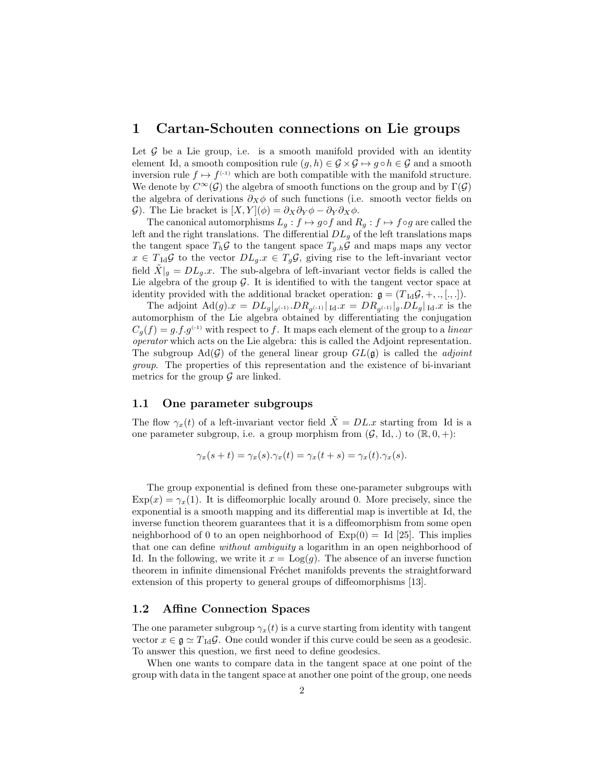### 1 Cartan-Schouten connections on Lie groups

Let  $G$  be a Lie group, i.e. is a smooth manifold provided with an identity element Id, a smooth composition rule  $(g, h) \in \mathcal{G} \times \mathcal{G} \mapsto g \circ h \in \mathcal{G}$  and a smooth inversion rule  $f \mapsto f^{(-1)}$  which are both compatible with the manifold structure. We denote by  $C^{\infty}(\mathcal{G})$  the algebra of smooth functions on the group and by  $\Gamma(\mathcal{G})$ the algebra of derivations  $\partial_X \phi$  of such functions (i.e. smooth vector fields on G). The Lie bracket is  $[X, Y](\phi) = \partial_X \partial_Y \phi - \partial_Y \partial_X \phi$ .

The canonical automorphisms  $L_g : f \mapsto g \circ f$  and  $R_g : f \mapsto f \circ g$  are called the left and the right translations. The differential  $DL_q$  of the left translations maps the tangent space  $T_h \mathcal{G}$  to the tangent space  $T_{g,h} \mathcal{G}$  and maps maps any vector  $x \in T_{\text{Id}}\mathcal{G}$  to the vector  $DL_g.x \in T_g\mathcal{G}$ , giving rise to the left-invariant vector field  $\ddot{X}|_g = DL_g \dot{x}$ . The sub-algebra of left-invariant vector fields is called the Lie algebra of the group  $G$ . It is identified to with the tangent vector space at identity provided with the additional bracket operation:  $g = (T_{\text{Id}}\mathcal{G}, +, \dots, \dots).$ 

The adjoint  $\text{Ad}(g).x = DL_g|_{g^{(-1)}}.DR_{g^{(-1)}}|_{\text{Id}}.x = DR_{g^{(-1)}}|_{g}.DL_g|_{\text{Id}}.x$  is the automorphism of the Lie algebra obtained by differentiating the conjugation  $C_q(f) = g.f.g^{(-1)}$  with respect to f. It maps each element of the group to a linear operator which acts on the Lie algebra: this is called the Adjoint representation. The subgroup  $\text{Ad}(\mathcal{G})$  of the general linear group  $GL(\mathfrak{g})$  is called the *adjoint* group. The properties of this representation and the existence of bi-invariant metrics for the group  $\mathcal G$  are linked.

#### 1.1 One parameter subgroups

The flow  $\gamma_x(t)$  of a left-invariant vector field  $\tilde{X} = DL.x$  starting from Id is a one parameter subgroup, i.e. a group morphism from  $(\mathcal{G}, \text{Id},.)$  to  $(\mathbb{R}, 0, +)$ :

$$
\gamma_x(s+t) = \gamma_x(s).\gamma_x(t) = \gamma_x(t+s) = \gamma_x(t).\gamma_x(s).
$$

The group exponential is defined from these one-parameter subgroups with  $Exp(x) = \gamma_x(1)$ . It is diffeomorphic locally around 0. More precisely, since the exponential is a smooth mapping and its differential map is invertible at Id, the inverse function theorem guarantees that it is a diffeomorphism from some open neighborhood of 0 to an open neighborhood of  $Exp(0) = Id [25]$ . This implies that one can define without ambiguity a logarithm in an open neighborhood of Id. In the following, we write it  $x = \text{Log}(g)$ . The absence of an inverse function theorem in infinite dimensional Fréchet manifolds prevents the straightforward extension of this property to general groups of diffeomorphisms [13].

#### 1.2 Affine Connection Spaces

The one parameter subgroup  $\gamma_x(t)$  is a curve starting from identity with tangent vector  $x \in \mathfrak{g} \simeq T_{\text{Id}}\mathcal{G}$ . One could wonder if this curve could be seen as a geodesic. To answer this question, we first need to define geodesics.

When one wants to compare data in the tangent space at one point of the group with data in the tangent space at another one point of the group, one needs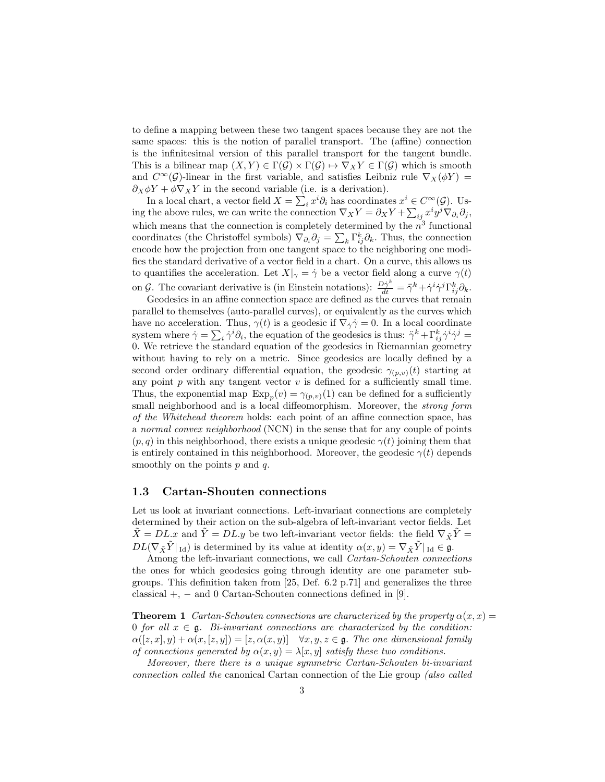to define a mapping between these two tangent spaces because they are not the same spaces: this is the notion of parallel transport. The (affine) connection is the infinitesimal version of this parallel transport for the tangent bundle. This is a bilinear map  $(X, Y) \in \Gamma(\mathcal{G}) \times \Gamma(\mathcal{G}) \mapsto \nabla_X Y \in \Gamma(\mathcal{G})$  which is smooth and  $C^{\infty}(\mathcal{G})$ -linear in the first variable, and satisfies Leibniz rule  $\nabla_X(\phi Y)$  =  $\partial_X \phi Y + \phi \nabla_X Y$  in the second variable (i.e. is a derivation).

In a local chart, a vector field  $X = \sum_i x^i \partial_i$  has coordinates  $x^i \in C^{\infty}(\mathcal{G})$ . Using the above rules, we can write the connection  $\nabla_X Y = \partial_X Y + \sum_{ij} x^i y^j \nabla_{\partial_i} \partial_j$ , which means that the connection is completely determined by the  $n^3$  functional coordinates (the Christoffel symbols)  $\nabla_{\partial_i} \partial_j = \sum_k \Gamma_{ij}^k \partial_k$ . Thus, the connection encode how the projection from one tangent space to the neighboring one modifies the standard derivative of a vector field in a chart. On a curve, this allows us to quantifies the acceleration. Let  $X|_{\gamma} = \dot{\gamma}$  be a vector field along a curve  $\gamma(t)$ on G. The covariant derivative is (in Einstein notations):  $\frac{D\dot{\gamma}^k}{dt} = \ddot{\gamma}^k + \dot{\gamma}^i \dot{\gamma}^j \Gamma^k_{ij} \partial_k$ .

Geodesics in an affine connection space are defined as the curves that remain parallel to themselves (auto-parallel curves), or equivalently as the curves which have no acceleration. Thus,  $\gamma(t)$  is a geodesic if  $\nabla_{\dot{\gamma}} \dot{\gamma} = 0$ . In a local coordinate system where  $\dot{\gamma} = \sum_i \dot{\gamma}^i \partial_i$ , the equation of the geodesics is thus:  $\ddot{\gamma}^k + \Gamma^k_{ij} \dot{\gamma}^i \dot{\gamma}^j =$ 0. We retrieve the standard equation of the geodesics in Riemannian geometry without having to rely on a metric. Since geodesics are locally defined by a second order ordinary differential equation, the geodesic  $\gamma_{(p,v)}(t)$  starting at any point  $p$  with any tangent vector  $v$  is defined for a sufficiently small time. Thus, the exponential map  $\text{Exp}_p(v) = \gamma_{(p,v)}(1)$  can be defined for a sufficiently small neighborhood and is a local diffeomorphism. Moreover, the *strong form* of the Whitehead theorem holds: each point of an affine connection space, has a normal convex neighborhood (NCN) in the sense that for any couple of points  $(p, q)$  in this neighborhood, there exists a unique geodesic  $\gamma(t)$  joining them that is entirely contained in this neighborhood. Moreover, the geodesic  $\gamma(t)$  depends smoothly on the points  $p$  and  $q$ .

#### 1.3 Cartan-Shouten connections

Let us look at invariant connections. Left-invariant connections are completely determined by their action on the sub-algebra of left-invariant vector fields. Let  $\tilde{X} = DL.x$  and  $\tilde{Y} = DL.y$  be two left-invariant vector fields: the field  $\nabla_{\tilde{X}}\tilde{Y} =$  $DL(\nabla_{\tilde{X}}\tilde{Y}|_{\text{Id}})$  is determined by its value at identity  $\alpha(x, y) = \nabla_{\tilde{X}}\tilde{Y}|_{\text{Id}} \in \mathfrak{g}.$ 

Among the left-invariant connections, we call Cartan-Schouten connections the ones for which geodesics going through identity are one parameter subgroups. This definition taken from [25, Def. 6.2 p.71] and generalizes the three classical  $+$ ,  $-$  and 0 Cartan-Schouten connections defined in [9].

**Theorem 1** Cartan-Schouten connections are characterized by the property  $\alpha(x, x) =$ 0 for all  $x \in \mathfrak{g}$ . Bi-invariant connections are characterized by the condition:  $\alpha([z, x], y) + \alpha(x, [z, y]) = [z, \alpha(x, y)] \quad \forall x, y, z \in \mathfrak{g}$ . The one dimensional family of connections generated by  $\alpha(x, y) = \lambda[x, y]$  satisfy these two conditions.

Moreover, there there is a unique symmetric Cartan-Schouten bi-invariant connection called the canonical Cartan connection of the Lie group (also called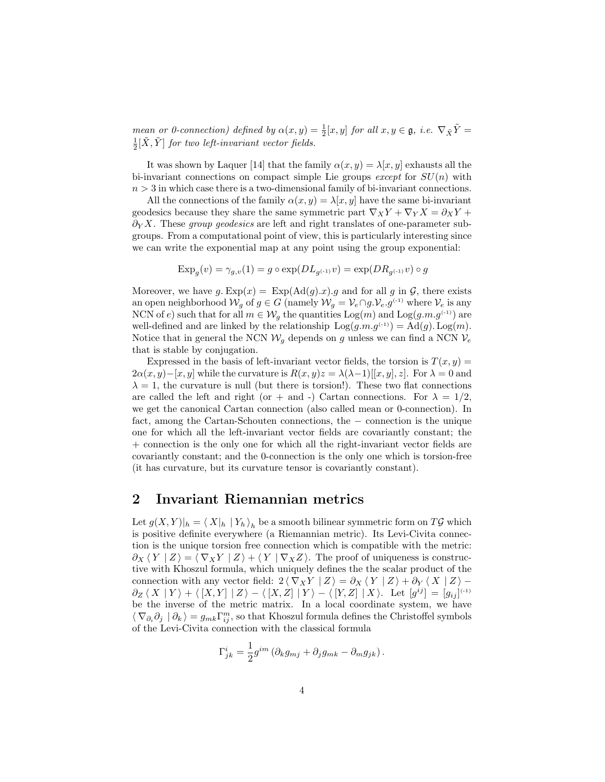mean or 0-connection) defined by  $\alpha(x, y) = \frac{1}{2}[x, y]$  for all  $x, y \in \mathfrak{g}$ , i.e.  $\nabla_{\tilde{X}} \tilde{Y} =$  $\frac{1}{2}[\tilde{X}, \tilde{Y}]$  for two left-invariant vector fields.

It was shown by Laquer [14] that the family  $\alpha(x, y) = \lambda[x, y]$  exhausts all the bi-invariant connections on compact simple Lie groups except for  $SU(n)$  with  $n > 3$  in which case there is a two-dimensional family of bi-invariant connections.

All the connections of the family  $\alpha(x, y) = \lambda[x, y]$  have the same bi-invariant geodesics because they share the same symmetric part  $\nabla_X Y + \nabla_Y X = \partial_X Y +$  $\partial_Y X$ . These group geodesics are left and right translates of one-parameter subgroups. From a computational point of view, this is particularly interesting since we can write the exponential map at any point using the group exponential:

$$
Exp_g(v) = \gamma_{g,v}(1) = g \circ exp(DL_{g^{(-1)}}v) = exp(DR_{g^{(-1)}}v) \circ g
$$

Moreover, we have  $g$ .  $Exp(x) = Exp(Ad(g).x).g$  and for all g in G, there exists an open neighborhood  $\mathcal{W}_g$  of  $g \in G$  (namely  $\mathcal{W}_g = \mathcal{V}_e \cap g \cdot \mathcal{V}_e \cdot g^{(-1)}$  where  $\mathcal{V}_e$  is any NCN of e) such that for all  $m \in \mathcal{W}_g$  the quantities  $Log(m)$  and  $Log(g.m.g^{(-1)})$  are well-defined and are linked by the relationship  $Log(g.m.g^{(-1)}) = Ad(g)$ .  $Log(m)$ . Notice that in general the NCN  $W_q$  depends on g unless we can find a NCN  $V_e$ that is stable by conjugation.

Expressed in the basis of left-invariant vector fields, the torsion is  $T(x, y) =$  $2\alpha(x, y) - [x, y]$  while the curvature is  $R(x, y)z = \lambda(\lambda - 1)[[x, y], z]$ . For  $\lambda = 0$  and  $\lambda = 1$ , the curvature is null (but there is torsion!). These two flat connections are called the left and right (or + and -) Cartan connections. For  $\lambda = 1/2$ , we get the canonical Cartan connection (also called mean or 0-connection). In fact, among the Cartan-Schouten connections, the − connection is the unique one for which all the left-invariant vector fields are covariantly constant; the + connection is the only one for which all the right-invariant vector fields are covariantly constant; and the 0-connection is the only one which is torsion-free (it has curvature, but its curvature tensor is covariantly constant).

## 2 Invariant Riemannian metrics

Let  $g(X,Y)|_h = \langle X|_h | Y_h \rangle_h$  be a smooth bilinear symmetric form on  $T\mathcal{G}$  which is positive definite everywhere (a Riemannian metric). Its Levi-Civita connection is the unique torsion free connection which is compatible with the metric:  $\partial_X \langle Y | Z \rangle = \langle \nabla_X Y | Z \rangle + \langle Y | \nabla_X Z \rangle$ . The proof of uniqueness is constructive with Khoszul formula, which uniquely defines the the scalar product of the connection with any vector field:  $2 \langle \nabla_X Y | Z \rangle = \partial_X \langle Y | Z \rangle + \partial_Y \langle X | Z \rangle \partial_Z \langle X | Y \rangle + \langle [X, Y] | Z \rangle - \langle [X, Z] | Y \rangle - \langle [Y, Z] | X \rangle$ . Let  $[g^{ij}] = [g_{ij}]^{(-1)}$ be the inverse of the metric matrix. In a local coordinate system, we have  $\langle \nabla_{\partial_i} \partial_j | \partial_k \rangle = g_{mk} \Gamma_{ij}^m$ , so that Khoszul formula defines the Christoffel symbols of the Levi-Civita connection with the classical formula

$$
\Gamma_{jk}^i = \frac{1}{2} g^{im} \left( \partial_k g_{mj} + \partial_j g_{mk} - \partial_m g_{jk} \right).
$$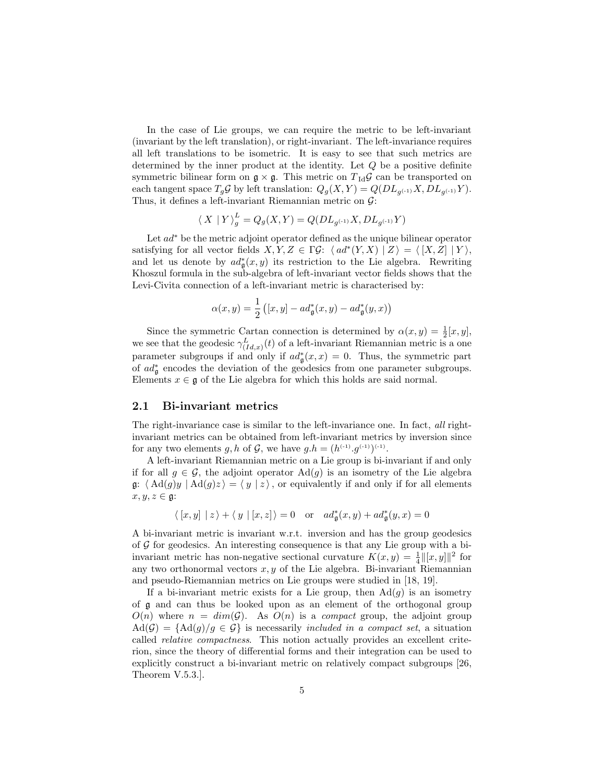In the case of Lie groups, we can require the metric to be left-invariant (invariant by the left translation), or right-invariant. The left-invariance requires all left translations to be isometric. It is easy to see that such metrics are determined by the inner product at the identity. Let Q be a positive definite symmetric bilinear form on  $\mathfrak{g} \times \mathfrak{g}$ . This metric on  $T_{\text{Id}}\mathcal{G}$  can be transported on each tangent space  $T_g \mathcal{G}$  by left translation:  $Q_g(X, Y) = Q(DL_{g^{(-1)}}X, DL_{g^{(-1)}}Y)$ . Thus, it defines a left-invariant Riemannian metric on  $\mathcal{G}$ :

$$
\langle \ X \ | \ Y \rangle_g^L = Q_g(X,Y) = Q(DL_{g^{(-1)}}X,DL_{g^{(-1)}}Y)
$$

Let ad<sup>∗</sup> be the metric adjoint operator defined as the unique bilinear operator satisfying for all vector fields  $X, Y, Z \in \Gamma \mathcal{G}$ :  $\langle ad^*(Y, X) | Z \rangle = \langle [X, Z] | Y \rangle$ , and let us denote by  $ad^*_{\mathfrak{g}}(x,y)$  its restriction to the Lie algebra. Rewriting Khoszul formula in the sub-algebra of left-invariant vector fields shows that the Levi-Civita connection of a left-invariant metric is characterised by:

$$
\alpha(x,y) = \frac{1}{2} \left( [x,y] - ad^*_\mathfrak{g}(x,y) - ad^*_\mathfrak{g}(y,x) \right)
$$

Since the symmetric Cartan connection is determined by  $\alpha(x, y) = \frac{1}{2}[x, y]$ , we see that the geodesic  $\gamma_{(Id,x)}^L(t)$  of a left-invariant Riemannian metric is a one parameter subgroups if and only if  $ad^*_{\mathfrak{g}}(x,x) = 0$ . Thus, the symmetric part of  $ad^*_{\mathfrak{g}}$  encodes the deviation of the geodesics from one parameter subgroups. Elements  $x \in \mathfrak{g}$  of the Lie algebra for which this holds are said normal.

#### 2.1 Bi-invariant metrics

The right-invariance case is similar to the left-invariance one. In fact, all rightinvariant metrics can be obtained from left-invariant metrics by inversion since for any two elements g, h of G, we have  $g.h = (h^{(-1)} \cdot g^{(-1)})^{(-1)}$ .

A left-invariant Riemannian metric on a Lie group is bi-invariant if and only if for all  $g \in \mathcal{G}$ , the adjoint operator  $\text{Ad}(g)$  is an isometry of the Lie algebra g:  $\langle \operatorname{Ad}(g)y | \operatorname{Ad}(g)z \rangle = \langle y | z \rangle$ , or equivalently if and only if for all elements  $x, y, z \in \mathfrak{g}$ :

$$
\langle [x,y] \mid z \rangle + \langle y \mid [x,z] \rangle = 0 \quad \text{or} \quad ad^*_{\mathfrak{g}}(x,y) + ad^*_{\mathfrak{g}}(y,x) = 0
$$

A bi-invariant metric is invariant w.r.t. inversion and has the group geodesics of  $G$  for geodesics. An interesting consequence is that any Lie group with a biinvariant metric has non-negative sectional curvature  $K(x, y) = \frac{1}{4} ||[x, y]||^2$  for any two orthonormal vectors  $x, y$  of the Lie algebra. Bi-invariant Riemannian and pseudo-Riemannian metrics on Lie groups were studied in [18, 19].

If a bi-invariant metric exists for a Lie group, then  $\text{Ad}(g)$  is an isometry of g and can thus be looked upon as an element of the orthogonal group  $O(n)$  where  $n = dim(\mathcal{G})$ . As  $O(n)$  is a compact group, the adjoint group  $\text{Ad}(\mathcal{G}) = {\text{Ad}(g)/g \in \mathcal{G}}$  is necessarily *included in a compact set*, a situation called relative compactness. This notion actually provides an excellent criterion, since the theory of differential forms and their integration can be used to explicitly construct a bi-invariant metric on relatively compact subgroups [26, Theorem V.5.3.].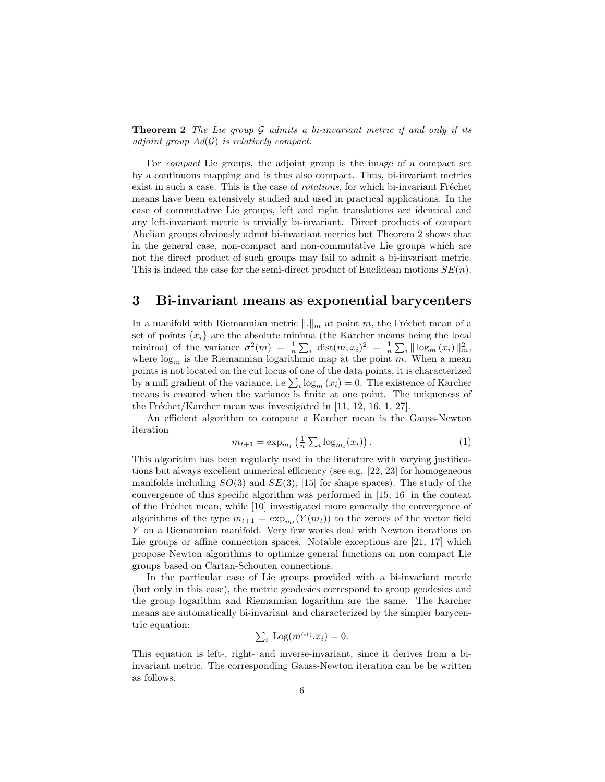**Theorem 2** The Lie group  $\mathcal G$  admits a bi-invariant metric if and only if its adjoint group  $Ad(G)$  is relatively compact.

For compact Lie groups, the adjoint group is the image of a compact set by a continuous mapping and is thus also compact. Thus, bi-invariant metrics exist in such a case. This is the case of *rotations*, for which bi-invariant Fréchet means have been extensively studied and used in practical applications. In the case of commutative Lie groups, left and right translations are identical and any left-invariant metric is trivially bi-invariant. Direct products of compact Abelian groups obviously admit bi-invariant metrics but Theorem 2 shows that in the general case, non-compact and non-commutative Lie groups which are not the direct product of such groups may fail to admit a bi-invariant metric. This is indeed the case for the semi-direct product of Euclidean motions  $SE(n)$ .

## 3 Bi-invariant means as exponential barycenters

In a manifold with Riemannian metric  $\|.\|_m$  at point m, the Fréchet mean of a set of points  $\{x_i\}$  are the absolute minima (the Karcher means being the local minima) of the variance  $\sigma^2(m) = \frac{1}{n} \sum_i \text{dist}(m, x_i)^2 = \frac{1}{n} \sum_i ||\log_m(x_i)||_m^2$ where  $log_m$  is the Riemannian logarithmic map at the point m. When a mean points is not located on the cut locus of one of the data points, it is characterized by a null gradient of the variance, i.e  $\sum_{i} \log_m(x_i) = 0$ . The existence of Karcher means is ensured when the variance is finite at one point. The uniqueness of the Fréchet/Karcher mean was investigated in  $[11, 12, 16, 1, 27]$ .

An efficient algorithm to compute a Karcher mean is the Gauss-Newton iteration

$$
m_{t+1} = \exp_{m_t} \left(\frac{1}{n} \sum_{i} \log_{m_t}(x_i)\right). \tag{1}
$$

This algorithm has been regularly used in the literature with varying justifications but always excellent numerical efficiency (see e.g. [22, 23] for homogeneous manifolds including  $SO(3)$  and  $SE(3)$ , [15] for shape spaces). The study of the convergence of this specific algorithm was performed in [15, 16] in the context of the Fréchet mean, while [10] investigated more generally the convergence of algorithms of the type  $m_{t+1} = \exp_{m_t}(Y(m_t))$  to the zeroes of the vector field Y on a Riemannian manifold. Very few works deal with Newton iterations on Lie groups or affine connection spaces. Notable exceptions are [21, 17] which propose Newton algorithms to optimize general functions on non compact Lie groups based on Cartan-Schouten connections.

In the particular case of Lie groups provided with a bi-invariant metric (but only in this case), the metric geodesics correspond to group geodesics and the group logarithm and Riemannian logarithm are the same. The Karcher means are automatically bi-invariant and characterized by the simpler barycentric equation:

$$
\sum_i \text{Log}(m^{(-1)} \cdot x_i) = 0.
$$

This equation is left-, right- and inverse-invariant, since it derives from a biinvariant metric. The corresponding Gauss-Newton iteration can be be written as follows.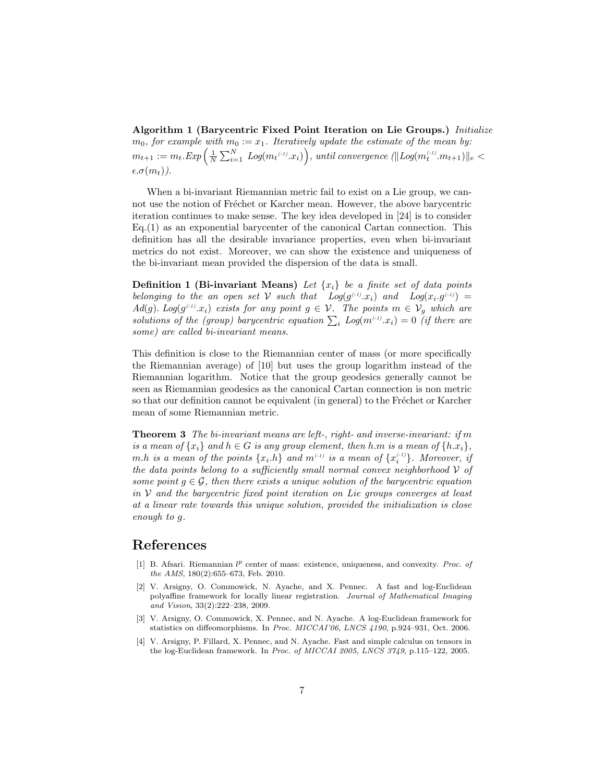Algorithm 1 (Barycentric Fixed Point Iteration on Lie Groups.) Initialize  $m_0$ , for example with  $m_0 := x_1$ . Iteratively update the estimate of the mean by:  $m_{t+1} := m_t . Exp\left(\frac{1}{N} \sum_{i=1}^N\; Log(m_t \epsilon^{(1)} .x_i)\right),$  until convergence  $(\|Log(m_t^{\epsilon_{1}} . m_{t+1})\|_e <$  $\epsilon.\sigma(m_t)$ ).

When a bi-invariant Riemannian metric fail to exist on a Lie group, we cannot use the notion of Fréchet or Karcher mean. However, the above barycentric iteration continues to make sense. The key idea developed in [24] is to consider  $Eq.(1)$  as an exponential barycenter of the canonical Cartan connection. This definition has all the desirable invariance properties, even when bi-invariant metrics do not exist. Moreover, we can show the existence and uniqueness of the bi-invariant mean provided the dispersion of the data is small.

**Definition 1 (Bi-invariant Means)** Let  $\{x_i\}$  be a finite set of data points belonging to the an open set V such that  $Log(g^{(-1)} \cdot x_i)$  and  $Log(x_i.g^{(-1)}) =$  $Ad(g)$ . Log( $g^{(-1)}x_i$ ) exists for any point  $g \in \mathcal{V}$ . The points  $m \in \mathcal{V}_g$  which are solutions of the (group) barycentric equation  $\sum_i Log(m^{(-i)} \cdot x_i) = 0$  (if there are some) are called bi-invariant means.

This definition is close to the Riemannian center of mass (or more specifically the Riemannian average) of [10] but uses the group logarithm instead of the Riemannian logarithm. Notice that the group geodesics generally cannot be seen as Riemannian geodesics as the canonical Cartan connection is non metric so that our definition cannot be equivalent (in general) to the Fréchet or Karcher mean of some Riemannian metric.

**Theorem 3** The bi-invariant means are left-, right- and inverse-invariant: if m is a mean of  $\{x_i\}$  and  $h \in G$  is any group element, then h.m is a mean of  $\{h.x_i\}$ ,  $m.h$  is a mean of the points  $\{x_i.h\}$  and  $m^{_{(-1)}}$  is a mean of  $\{x_i^{_{(-1)}}\}$ . Moreover, if the data points belong to a sufficiently small normal convex neighborhood  $V$  of some point  $g \in \mathcal{G}$ , then there exists a unique solution of the barycentric equation in  $V$  and the barycentric fixed point iteration on Lie groups converges at least at a linear rate towards this unique solution, provided the initialization is close enough to g.

### References

- [1] B. Afsari. Riemannian  $l^p$  center of mass: existence, uniqueness, and convexity. *Proc. of* the AMS, 180(2):655–673, Feb. 2010.
- [2] V. Arsigny, O. Commowick, N. Ayache, and X. Pennec. A fast and log-Euclidean polyaffine framework for locally linear registration. Journal of Mathematical Imaging and Vision, 33(2):222–238, 2009.
- [3] V. Arsigny, O. Commowick, X. Pennec, and N. Ayache. A log-Euclidean framework for statistics on diffeomorphisms. In Proc. MICCAI'06, LNCS 4190, p.924–931, Oct. 2006.
- [4] V. Arsigny, P. Fillard, X. Pennec, and N. Ayache. Fast and simple calculus on tensors in the log-Euclidean framework. In Proc. of MICCAI 2005, LNCS 3749, p.115–122, 2005.